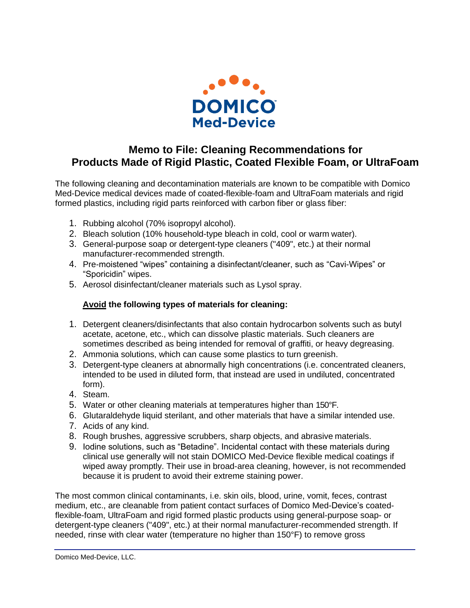

## **Memo to File: Cleaning Recommendations for Products Made of Rigid Plastic, Coated Flexible Foam, or UltraFoam**

The following cleaning and decontamination materials are known to be compatible with Domico Med-Device medical devices made of coated-flexible-foam and UltraFoam materials and rigid formed plastics, including rigid parts reinforced with carbon fiber or glass fiber:

- 1. Rubbing alcohol (70% isopropyl alcohol).
- 2. Bleach solution (10% household-type bleach in cold, cool or warm water).
- 3. General-purpose soap or detergent-type cleaners ("409", etc.) at their normal manufacturer-recommended strength.
- 4. Pre-moistened "wipes" containing a disinfectant/cleaner, such as "Cavi-Wipes" or "Sporicidin" wipes.
- 5. Aerosol disinfectant/cleaner materials such as Lysol spray.

## **Avoid the following types of materials for cleaning:**

- 1. Detergent cleaners/disinfectants that also contain hydrocarbon solvents such as butyl acetate, acetone, etc., which can dissolve plastic materials. Such cleaners are sometimes described as being intended for removal of graffiti, or heavy degreasing.
- 2. Ammonia solutions, which can cause some plastics to turn greenish.
- 3. Detergent-type cleaners at abnormally high concentrations (i.e. concentrated cleaners, intended to be used in diluted form, that instead are used in undiluted, concentrated form).
- 4. Steam.
- 5. Water or other cleaning materials at temperatures higher than 150°F.
- 6. Glutaraldehyde liquid sterilant, and other materials that have a similar intended use.
- 7. Acids of any kind.
- 8. Rough brushes, aggressive scrubbers, sharp objects, and abrasive materials.
- 9. Iodine solutions, such as "Betadine". Incidental contact with these materials during clinical use generally will not stain DOMICO Med-Device flexible medical coatings if wiped away promptly. Their use in broad-area cleaning, however, is not recommended because it is prudent to avoid their extreme staining power.

The most common clinical contaminants, i.e. skin oils, blood, urine, vomit, feces, contrast medium, etc., are cleanable from patient contact surfaces of Domico Med-Device's coatedflexible-foam, UltraFoam and rigid formed plastic products using general-purpose soap- or detergent-type cleaners ("409", etc.) at their normal manufacturer-recommended strength. If needed, rinse with clear water (temperature no higher than 150°F) to remove gross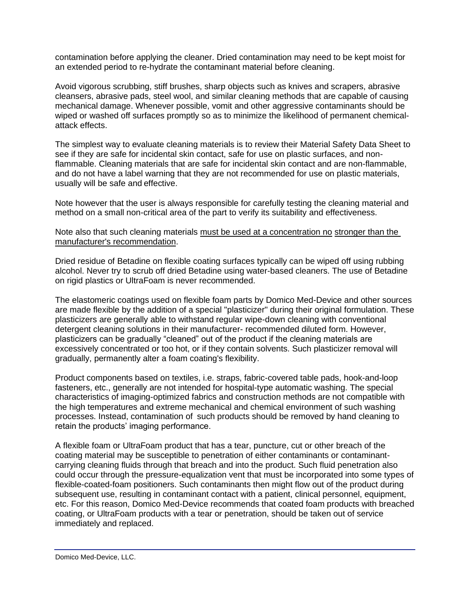contamination before applying the cleaner. Dried contamination may need to be kept moist for an extended period to re-hydrate the contaminant material before cleaning.

Avoid vigorous scrubbing, stiff brushes, sharp objects such as knives and scrapers, abrasive cleansers, abrasive pads, steel wool, and similar cleaning methods that are capable of causing mechanical damage. Whenever possible, vomit and other aggressive contaminants should be wiped or washed off surfaces promptly so as to minimize the likelihood of permanent chemicalattack effects.

The simplest way to evaluate cleaning materials is to review their Material Safety Data Sheet to see if they are safe for incidental skin contact, safe for use on plastic surfaces, and nonflammable. Cleaning materials that are safe for incidental skin contact and are non-flammable, and do not have a label warning that they are not recommended for use on plastic materials, usually will be safe and effective.

Note however that the user is always responsible for carefully testing the cleaning material and method on a small non-critical area of the part to verify its suitability and effectiveness.

## Note also that such cleaning materials must be used at a concentration no stronger than the manufacturer's recommendation.

Dried residue of Betadine on flexible coating surfaces typically can be wiped off using rubbing alcohol. Never try to scrub off dried Betadine using water-based cleaners. The use of Betadine on rigid plastics or UltraFoam is never recommended.

The elastomeric coatings used on flexible foam parts by Domico Med-Device and other sources are made flexible by the addition of a special "plasticizer" during their original formulation. These plasticizers are generally able to withstand regular wipe-down cleaning with conventional detergent cleaning solutions in their manufacturer- recommended diluted form. However, plasticizers can be gradually "cleaned" out of the product if the cleaning materials are excessively concentrated or too hot, or if they contain solvents. Such plasticizer removal will gradually, permanently alter a foam coating's flexibility.

Product components based on textiles, i.e. straps, fabric-covered table pads, hook-and-loop fasteners, etc., generally are not intended for hospital-type automatic washing. The special characteristics of imaging-optimized fabrics and construction methods are not compatible with the high temperatures and extreme mechanical and chemical environment of such washing processes. Instead, contamination of such products should be removed by hand cleaning to retain the products' imaging performance.

A flexible foam or UltraFoam product that has a tear, puncture, cut or other breach of the coating material may be susceptible to penetration of either contaminants or contaminantcarrying cleaning fluids through that breach and into the product. Such fluid penetration also could occur through the pressure-equalization vent that must be incorporated into some types of flexible-coated-foam positioners. Such contaminants then might flow out of the product during subsequent use, resulting in contaminant contact with a patient, clinical personnel, equipment, etc. For this reason, Domico Med-Device recommends that coated foam products with breached coating, or UltraFoam products with a tear or penetration, should be taken out of service immediately and replaced.